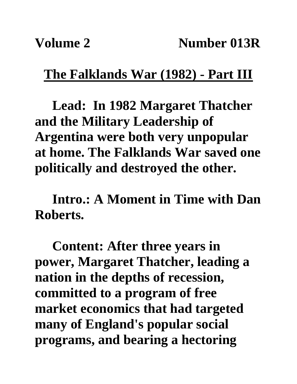### **The Falklands War (1982) - Part III**

**Lead: In 1982 Margaret Thatcher and the Military Leadership of Argentina were both very unpopular at home. The Falklands War saved one politically and destroyed the other.**

**Intro.: A Moment in Time with Dan Roberts.**

**Content: After three years in power, Margaret Thatcher, leading a nation in the depths of recession, committed to a program of free market economics that had targeted many of England's popular social programs, and bearing a hectoring**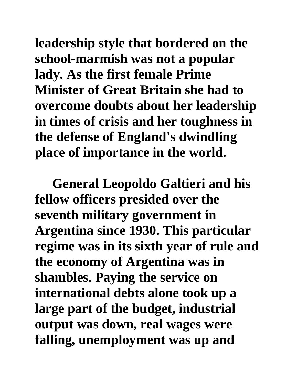**leadership style that bordered on the school-marmish was not a popular lady. As the first female Prime Minister of Great Britain she had to overcome doubts about her leadership in times of crisis and her toughness in the defense of England's dwindling place of importance in the world.**

**General Leopoldo Galtieri and his fellow officers presided over the seventh military government in Argentina since 1930. This particular regime was in its sixth year of rule and the economy of Argentina was in shambles. Paying the service on international debts alone took up a large part of the budget, industrial output was down, real wages were falling, unemployment was up and**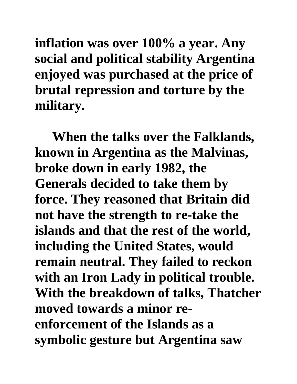**inflation was over 100% a year. Any social and political stability Argentina enjoyed was purchased at the price of brutal repression and torture by the military.** 

**When the talks over the Falklands, known in Argentina as the Malvinas, broke down in early 1982, the Generals decided to take them by force. They reasoned that Britain did not have the strength to re-take the islands and that the rest of the world, including the United States, would remain neutral. They failed to reckon with an Iron Lady in political trouble. With the breakdown of talks, Thatcher moved towards a minor reenforcement of the Islands as a symbolic gesture but Argentina saw**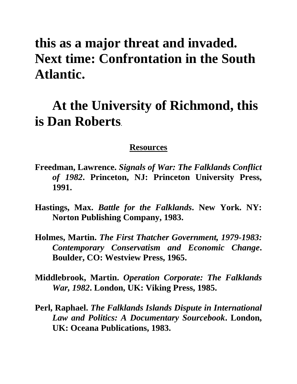# **this as a major threat and invaded. Next time: Confrontation in the South Atlantic.**

# **At the University of Richmond, this is Dan Roberts.**

#### **Resources**

- **Freedman, Lawrence.** *Signals of War: The Falklands Conflict of 1982***. Princeton, NJ: Princeton University Press, 1991.**
- **Hastings, Max.** *Battle for the Falklands***. New York. NY: Norton Publishing Company, 1983.**
- **Holmes, Martin.** *The First Thatcher Government, 1979-1983: Contemporary Conservatism and Economic Change***. Boulder, CO: Westview Press, 1965.**
- **Middlebrook, Martin.** *Operation Corporate: The Falklands War, 1982***. London, UK: Viking Press, 1985.**
- **Perl, Raphael.** *The Falklands Islands Dispute in International Law and Politics: A Documentary Sourcebook***. London, UK: Oceana Publications, 1983.**